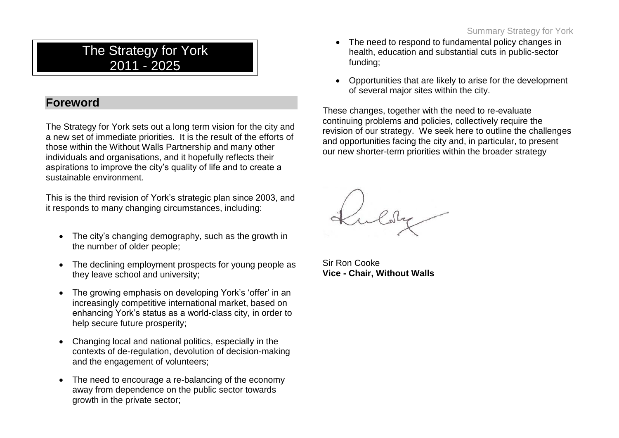# The Strategy for York 2011 - 2025

## **Foreword**

The Strategy for York sets out a long term vision for the city and a new set of immediate priorities. It is the result of the efforts of those within the Without Walls Partnership and many other individuals and organisations, and it hopefully reflects their aspirations to improve the city"s quality of life and to create a sustainable environment.

This is the third revision of York"s strategic plan since 2003, and it responds to many changing circumstances, including:

- The city's changing demography, such as the growth in the number of older people;
- The declining employment prospects for young people as they leave school and university;
- The growing emphasis on developing York's 'offer' in an increasingly competitive international market, based on enhancing York"s status as a world-class city, in order to help secure future prosperity;
- Changing local and national politics, especially in the contexts of de-regulation, devolution of decision-making and the engagement of volunteers;
- The need to encourage a re-balancing of the economy away from dependence on the public sector towards growth in the private sector;
- The need to respond to fundamental policy changes in health, education and substantial cuts in public-sector funding;
- Opportunities that are likely to arise for the development of several major sites within the city.

These changes, together with the need to re-evaluate continuing problems and policies, collectively require the revision of our strategy. We seek here to outline the challenges and opportunities facing the city and, in particular, to present our new shorter-term priorities within the broader strategy

Sir Ron Cooke **Vice - Chair, Without Walls**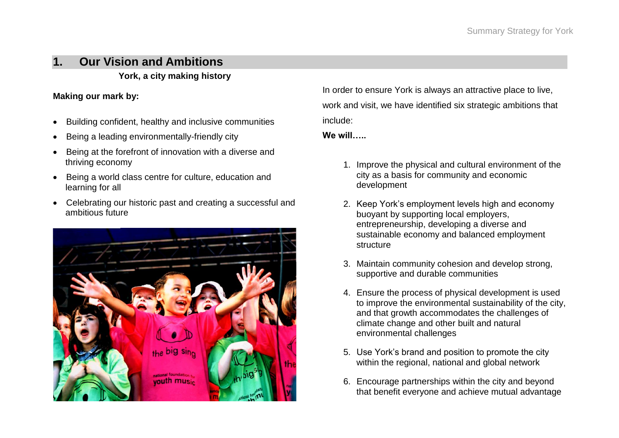# **1. Our Vision and Ambitions**

**York, a city making history**

#### **Making our mark by:**

- Building confident, healthy and inclusive communities
- Being a leading environmentally-friendly city
- Being at the forefront of innovation with a diverse and thriving economy
- Being a world class centre for culture, education and learning for all
- Celebrating our historic past and creating a successful and ambitious future



In order to ensure York is always an attractive place to live, work and visit, we have identified six strategic ambitions that include:

**We will…..**

- 1. Improve the physical and cultural environment of the city as a basis for community and economic development
- 2. Keep York"s employment levels high and economy buoyant by supporting local employers, entrepreneurship, developing a diverse and sustainable economy and balanced employment **structure**
- 3. Maintain community cohesion and develop strong, supportive and durable communities
- 4. Ensure the process of physical development is used to improve the environmental sustainability of the city, and that growth accommodates the challenges of climate change and other built and natural environmental challenges
- 5. Use York"s brand and position to promote the city within the regional, national and global network
- 6. Encourage partnerships within the city and beyond that benefit everyone and achieve mutual advantage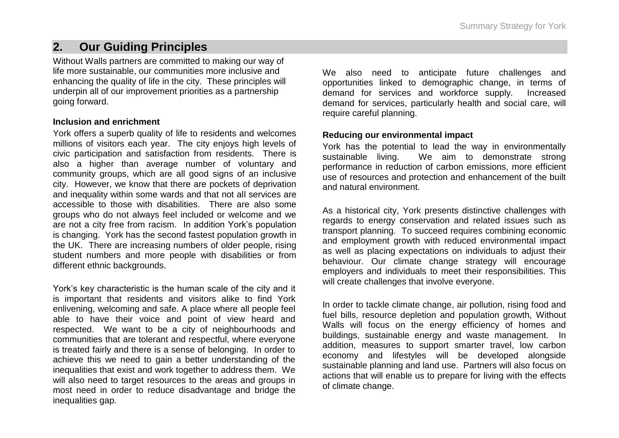## **2. Our Guiding Principles**

Without Walls partners are committed to making our way of life more sustainable, our communities more inclusive and enhancing the quality of life in the city. These principles will underpin all of our improvement priorities as a partnership going forward.

#### **Inclusion and enrichment**

York offers a superb quality of life to residents and welcomes millions of visitors each year. The city enjoys high levels of civic participation and satisfaction from residents. There is also a higher than average number of voluntary and community groups, which are all good signs of an inclusive city. However, we know that there are pockets of deprivation and inequality within some wards and that not all services are accessible to those with disabilities. There are also some groups who do not always feel included or welcome and we are not a city free from racism. In addition York"s population is changing. York has the second fastest population growth in the UK. There are increasing numbers of older people, rising student numbers and more people with disabilities or from different ethnic backgrounds.

York"s key characteristic is the human scale of the city and it is important that residents and visitors alike to find York enlivening, welcoming and safe. A place where all people feel able to have their voice and point of view heard and respected. We want to be a city of neighbourhoods and communities that are tolerant and respectful, where everyone is treated fairly and there is a sense of belonging. In order to achieve this we need to gain a better understanding of the inequalities that exist and work together to address them. We will also need to target resources to the areas and groups in most need in order to reduce disadvantage and bridge the inequalities gap.

We also need to anticipate future challenges and opportunities linked to demographic change, in terms of demand for services and workforce supply. Increased demand for services, particularly health and social care, will require careful planning.

#### **Reducing our environmental impact**

York has the potential to lead the way in environmentally sustainable living. We aim to demonstrate strong performance in reduction of carbon emissions, more efficient use of resources and protection and enhancement of the built and natural environment.

As a historical city, York presents distinctive challenges with regards to energy conservation and related issues such as transport planning. To succeed requires combining economic and employment growth with reduced environmental impact as well as placing expectations on individuals to adjust their behaviour. Our climate change strategy will encourage employers and individuals to meet their responsibilities. This will create challenges that involve everyone.

In order to tackle climate change, air pollution, rising food and fuel bills, resource depletion and population growth, Without Walls will focus on the energy efficiency of homes and buildings, sustainable energy and waste management. In addition, measures to support smarter travel, low carbon economy and lifestyles will be developed alongside sustainable planning and land use. Partners will also focus on actions that will enable us to prepare for living with the effects of climate change.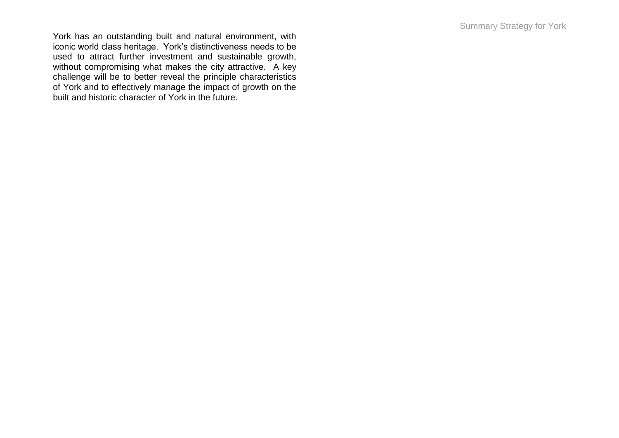York has an outstanding built and natural environment, with iconic world class heritage. York"s distinctiveness needs to be used to attract further investment and sustainable growth, without compromising what makes the city attractive. A key challenge will be to better reveal the principle characteristics of York and to effectively manage the impact of growth on the built and historic character of York in the future.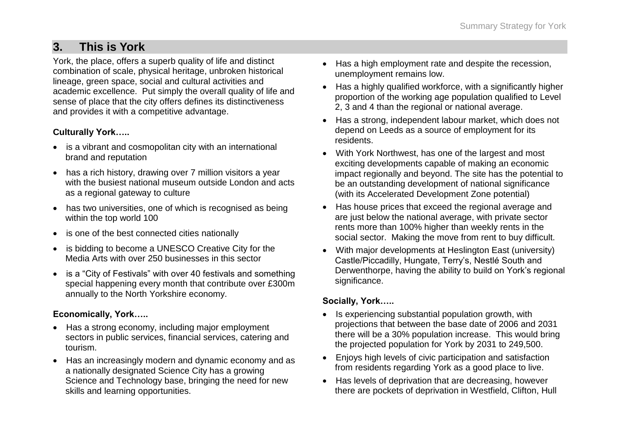# **3. This is York**

York, the place, offers a superb quality of life and distinct combination of scale, physical heritage, unbroken historical lineage, green space, social and cultural activities and academic excellence. Put simply the overall quality of life and sense of place that the city offers defines its distinctiveness and provides it with a competitive advantage.

#### **Culturally York…..**

- is a vibrant and cosmopolitan city with an international brand and reputation
- has a rich history, drawing over 7 million visitors a vear with the busiest national museum outside London and acts as a regional gateway to culture
- has two universities, one of which is recognised as being within the top world 100
- is one of the best connected cities nationally
- is bidding to become a UNESCO Creative City for the Media Arts with over 250 businesses in this sector
- is a "City of Festivals" with over 40 festivals and something special happening every month that contribute over £300m annually to the North Yorkshire economy.

#### **Economically, York…..**

- Has a strong economy, including major employment sectors in public services, financial services, catering and tourism.
- Has an increasingly modern and dynamic economy and as a nationally designated Science City has a growing Science and Technology base, bringing the need for new skills and learning opportunities.
- Has a high employment rate and despite the recession, unemployment remains low.
- Has a highly qualified workforce, with a significantly higher proportion of the working age population qualified to Level 2, 3 and 4 than the regional or national average.
- Has a strong, independent labour market, which does not depend on Leeds as a source of employment for its residents.
- With York Northwest, has one of the largest and most exciting developments capable of making an economic impact regionally and beyond. The site has the potential to be an outstanding development of national significance (with its Accelerated Development Zone potential)
- Has house prices that exceed the regional average and are just below the national average, with private sector rents more than 100% higher than weekly rents in the social sector. Making the move from rent to buy difficult.
- With major developments at Heslington East (university) Castle/Piccadilly, Hungate, Terry"s, Nestlé South and Derwenthorpe, having the ability to build on York"s regional significance.

### **Socially, York…..**

- Is experiencing substantial population growth, with projections that between the base date of 2006 and 2031 there will be a 30% population increase. This would bring the projected population for York by 2031 to 249,500.
- Enjoys high levels of civic participation and satisfaction from residents regarding York as a good place to live.
- Has levels of deprivation that are decreasing, however there are pockets of deprivation in Westfield, Clifton, Hull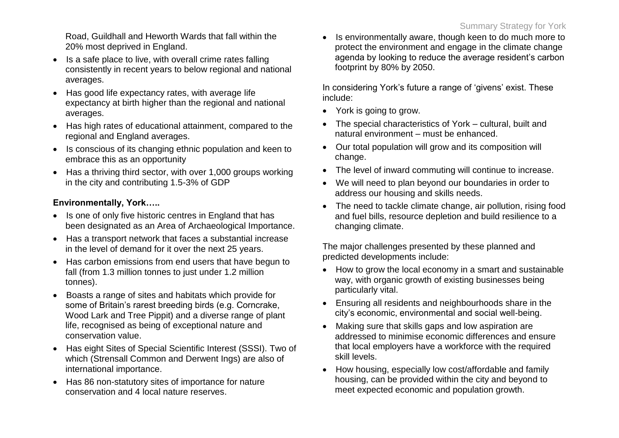Road, Guildhall and Heworth Wards that fall within the 20% most deprived in England.

- Is a safe place to live, with overall crime rates falling consistently in recent years to below regional and national averages.
- Has good life expectancy rates, with average life expectancy at birth higher than the regional and national averages.
- Has high rates of educational attainment, compared to the regional and England averages.
- Is conscious of its changing ethnic population and keen to embrace this as an opportunity
- Has a thriving third sector, with over 1,000 groups working in the city and contributing 1.5-3% of GDP

### **Environmentally, York…..**

- Is one of only five historic centres in England that has been designated as an Area of Archaeological Importance.
- Has a transport network that faces a substantial increase in the level of demand for it over the next 25 years.
- Has carbon emissions from end users that have begun to fall (from 1.3 million tonnes to just under 1.2 million tonnes).
- Boasts a range of sites and habitats which provide for some of Britain"s rarest breeding birds (e.g. Corncrake, Wood Lark and Tree Pippit) and a diverse range of plant life, recognised as being of exceptional nature and conservation value.
- Has eight Sites of Special Scientific Interest (SSSI). Two of which (Strensall Common and Derwent Ings) are also of international importance.
- Has 86 non-statutory sites of importance for nature conservation and 4 local nature reserves.

• Is environmentally aware, though keen to do much more to protect the environment and engage in the climate change agenda by looking to reduce the average resident"s carbon footprint by 80% by 2050.

In considering York's future a range of 'givens' exist. These include:

- York is going to grow.
- The special characteristics of York cultural, built and natural environment – must be enhanced.
- Our total population will grow and its composition will change.
- The level of inward commuting will continue to increase.
- We will need to plan beyond our boundaries in order to address our housing and skills needs.
- The need to tackle climate change, air pollution, rising food and fuel bills, resource depletion and build resilience to a changing climate.

The major challenges presented by these planned and predicted developments include:

- How to grow the local economy in a smart and sustainable way, with organic growth of existing businesses being particularly vital.
- Ensuring all residents and neighbourhoods share in the city"s economic, environmental and social well-being.
- Making sure that skills gaps and low aspiration are addressed to minimise economic differences and ensure that local employers have a workforce with the required skill levels.
- How housing, especially low cost/affordable and family housing, can be provided within the city and beyond to meet expected economic and population growth.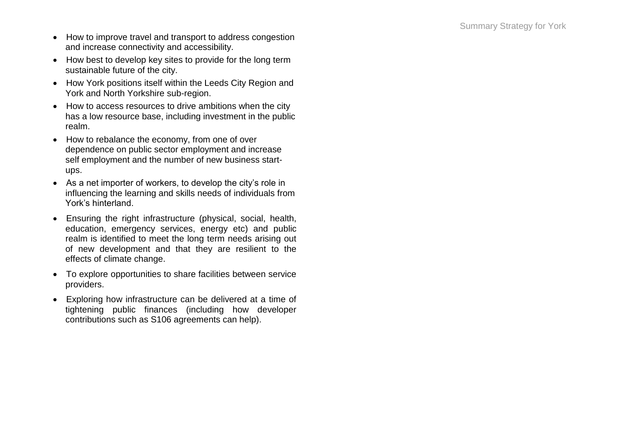- How to improve travel and transport to address congestion and increase connectivity and accessibility.
- How best to develop key sites to provide for the long term sustainable future of the city.
- How York positions itself within the Leeds City Region and York and North Yorkshire sub -region.
- How to access resources to drive ambitions when the city has a low resource base, including investment in the public realm.
- How to rebalance the economy, from one of over dependence on public sector employment and increase self employment and the number of new business start ups.
- As a net importer of workers, to develop the city"s role in influencing the learning and skills needs of individuals from York"s hinterland.
- Ensuring the right infrastructure (physical, social, health, education, emergency services, energy etc) and public realm is identified to meet the long term needs arising out of new development and that they are resilient to the effects of climate change .
- To explore opportunities to share facilities between service providers.
- Exploring how infrastructure can be delivered at a time of tightening public finances (including how developer contributions such as S106 agreements can help).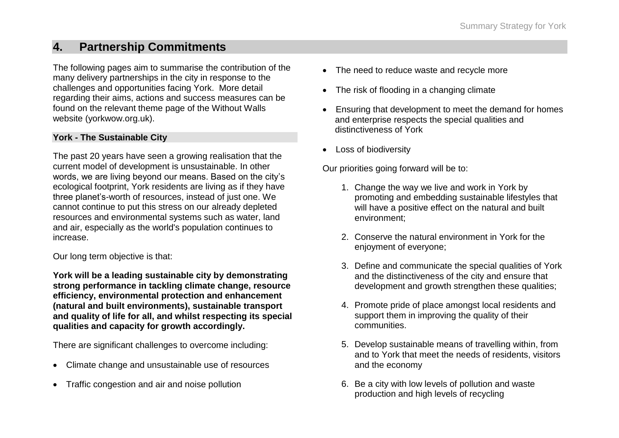## **4. Partnership Commitments**

The following pages aim to summarise the contribution of the many delivery partnerships in the city in response to the challenges and opportunities facing York. More detail regarding their aims, actions and success measures can be found on the relevant theme page of the Without Walls website (yorkwow.org.uk).

#### **York - The Sustainable City**

The past 20 years have seen a growing realisation that the current model of development is unsustainable. In other words, we are living beyond our means. Based on the city"s ecological footprint, York residents are living as if they have three planet"s-worth of resources, instead of just one. We cannot continue to put this stress on our already depleted resources and environmental systems such as water, land and air, especially as the world's population continues to increase.

Our long term objective is that:

**York will be a leading sustainable city by demonstrating strong performance in tackling climate change, resource efficiency, environmental protection and enhancement (natural and built environments), sustainable transport and quality of life for all, and whilst respecting its special qualities and capacity for growth accordingly.**

There are significant challenges to overcome including:

- Climate change and unsustainable use of resources
- Traffic congestion and air and noise pollution
- The need to reduce waste and recycle more
- The risk of flooding in a changing climate
- Ensuring that development to meet the demand for homes and enterprise respects the special qualities and distinctiveness of York
- Loss of biodiversity

Our priorities going forward will be to:

- 1. Change the way we live and work in York by promoting and embedding sustainable lifestyles that will have a positive effect on the natural and built environment;
- 2. Conserve the natural environment in York for the enjoyment of everyone;
- 3. Define and communicate the special qualities of York and the distinctiveness of the city and ensure that development and growth strengthen these qualities;
- 4. Promote pride of place amongst local residents and support them in improving the quality of their communities.
- 5. Develop sustainable means of travelling within, from and to York that meet the needs of residents, visitors and the economy
- 6. Be a city with low levels of pollution and waste production and high levels of recycling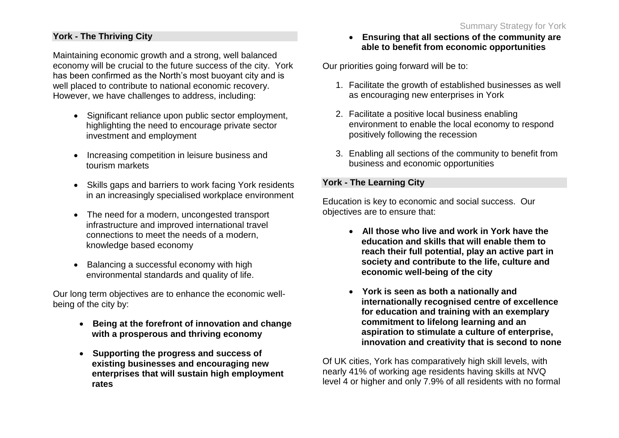#### **York - The Thriving City**

Maintaining economic growth and a strong, well balanced economy will be crucial to the future success of the city. York has been confirmed as the North's most buoyant city and is well placed to contribute to national economic recovery. However, we have challenges to address, including:

- Significant reliance upon public sector employment, highlighting the need to encourage private sector investment and employment
- Increasing competition in leisure business and tourism markets
- Skills gaps and barriers to work facing York residents in an increasingly specialised workplace environment
- The need for a modern, uncongested transport infrastructure and improved international travel connections to meet the needs of a modern, knowledge based economy
- Balancing a successful economy with high environmental standards and quality of life.

Our long term objectives are to enhance the economic wellbeing of the city by:

- **Being at the forefront of innovation and change with a prosperous and thriving economy**
- **Supporting the progress and success of existing businesses and encouraging new enterprises that will sustain high employment rates**

#### **Ensuring that all sections of the community are able to benefit from economic opportunities**

Our priorities going forward will be to:

- 1. Facilitate the growth of established businesses as well as encouraging new enterprises in York
- 2. Facilitate a positive local business enabling environment to enable the local economy to respond positively following the recession
- 3. Enabling all sections of the community to benefit from business and economic opportunities

### **York - The Learning City**

Education is key to economic and social success. Our objectives are to ensure that:

- **All those who live and work in York have the education and skills that will enable them to reach their full potential, play an active part in society and contribute to the life, culture and economic well-being of the city**
- **York is seen as both a nationally and internationally recognised centre of excellence for education and training with an exemplary commitment to lifelong learning and an aspiration to stimulate a culture of enterprise, innovation and creativity that is second to none**

Of UK cities, York has comparatively high skill levels, with nearly 41% of working age residents having skills at NVQ level 4 or higher and only 7.9% of all residents with no formal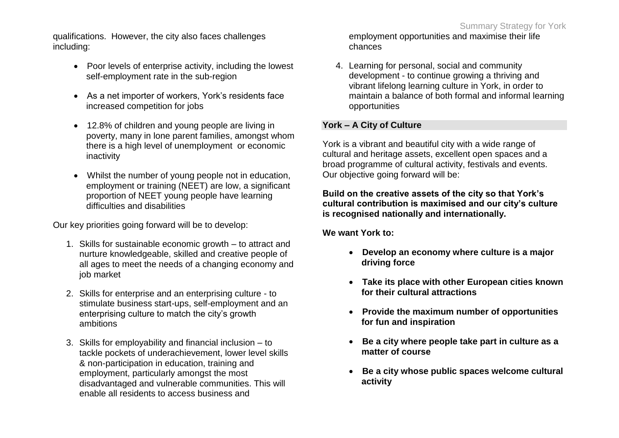qualifications. However, the city also faces challenges including:

- Poor levels of enterprise activity, including the lowest self-employment rate in the sub-region
- As a net importer of workers, York"s residents face increased competition for jobs
- 12.8% of children and young people are living in poverty, many in lone parent families, amongst whom there is a high level of unemployment or economic inactivity
- Whilst the number of young people not in education, employment or training (NEET) are low, a significant proportion of NEET young people have learning difficulties and disabilities

Our key priorities going forward will be to develop:

- 1. Skills for sustainable economic growth to attract and nurture knowledgeable, skilled and creative people of all ages to meet the needs of a changing economy and job market
- 2. Skills for enterprise and an enterprising culture to stimulate business start-ups, self-employment and an enterprising culture to match the city"s growth ambitions
- 3. Skills for employability and financial inclusion to tackle pockets of underachievement, lower level skills & non-participation in education, training and employment, particularly amongst the most disadvantaged and vulnerable communities. This will enable all residents to access business and

employment opportunities and maximise their life chances

4. Learning for personal, social and community development - to continue growing a thriving and vibrant lifelong learning culture in York, in order to maintain a balance of both formal and informal learning opportunities

### **York – A City of Culture**

York is a vibrant and beautiful city with a wide range of cultural and heritage assets, excellent open spaces and a broad programme of cultural activity, festivals and events. Our objective going forward will be:

**Build on the creative assets of the city so that York's cultural contribution is maximised and our city's culture is recognised nationally and internationally.**

**We want York to:**

- **Develop an economy where culture is a major driving force**
- **Take its place with other European cities known for their cultural attractions**
- **Provide the maximum number of opportunities for fun and inspiration**
- **Be a city where people take part in culture as a matter of course**
- **Be a city whose public spaces welcome cultural activity**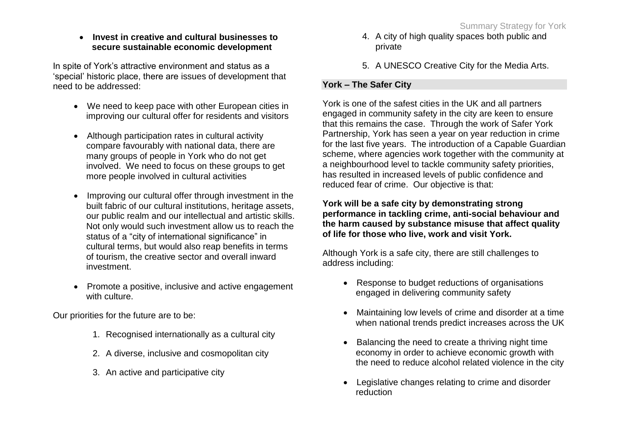**Invest in creative and cultural businesses to secure sustainable economic development**

In spite of York"s attractive environment and status as a "special" historic place, there are issues of development that need to be addressed:

- We need to keep pace with other European cities in improving our cultural offer for residents and visitors
- Although participation rates in cultural activity compare favourably with national data, there are many groups of people in York who do not get involved. We need to focus on these groups to get more people involved in cultural activities
- Improving our cultural offer through investment in the built fabric of our cultural institutions, heritage assets, our public realm and our intellectual and artistic skills. Not only would such investment allow us to reach the status of a "city of international significance" in cultural terms, but would also reap benefits in terms of tourism, the creative sector and overall inward investment.
- Promote a positive, inclusive and active engagement with culture.

Our priorities for the future are to be:

- 1. Recognised internationally as a cultural city
- 2. A diverse, inclusive and cosmopolitan city
- 3. An active and participative city
- 4. A city of high quality spaces both public and private
- 5. A UNESCO Creative City for the Media Arts.

#### **York – The Safer City**

York is one of the safest cities in the UK and all partners engaged in community safety in the city are keen to ensure that this remains the case. Through the work of Safer York Partnership, York has seen a year on year reduction in crime for the last five years. The introduction of a Capable Guardian scheme, where agencies work together with the community at a neighbourhood level to tackle community safety priorities, has resulted in increased levels of public confidence and reduced fear of crime. Our objective is that:

#### **York will be a safe city by demonstrating strong performance in tackling crime, anti-social behaviour and the harm caused by substance misuse that affect quality of life for those who live, work and visit York.**

Although York is a safe city, there are still challenges to address including:

- Response to budget reductions of organisations engaged in delivering community safety
- Maintaining low levels of crime and disorder at a time when national trends predict increases across the UK
- Balancing the need to create a thriving night time economy in order to achieve economic growth with the need to reduce alcohol related violence in the city
- Legislative changes relating to crime and disorder reduction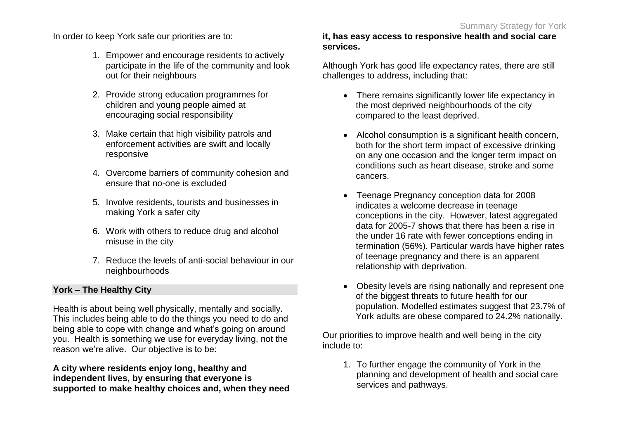In order to keep York safe our priorities are to:

- 1. Empower and encourage residents to actively participate in the life of the community and look out for their neighbours
- 2. Provide strong education programmes for children and young people aimed at encouraging social responsibility
- 3. Make certain that high visibility patrols and enforcement activities are swift and locally responsive
- 4. Overcome barriers of community cohesion and ensure that no-one is excluded
- 5. Involve residents, tourists and businesses in making York a safer city
- 6. Work with others to reduce drug and alcohol misuse in the city
- 7. Reduce the levels of anti-social behaviour in our neighbourhoods

### **York – The Healthy City**

Health is about being well physically, mentally and socially. This includes being able to do the things you need to do and being able to cope with change and what's going on around you. Health is something we use for everyday living, not the reason we"re alive. Our objective is to be:

**A city where residents enjoy long, healthy and independent lives, by ensuring that everyone is supported to make healthy choices and, when they need** 

#### **it, has easy access to responsive health and social care services.**

Although York has good life expectancy rates, there are still challenges to address, including that:

- There remains significantly lower life expectancy in the most deprived neighbourhoods of the city compared to the least deprived.
- Alcohol consumption is a significant health concern, both for the short term impact of excessive drinking on any one occasion and the longer term impact on conditions such as heart disease, stroke and some cancers.
- Teenage Pregnancy conception data for 2008 indicates a welcome decrease in teenage conceptions in the city. However, latest aggregated data for 2005-7 shows that there has been a rise in the under 16 rate with fewer conceptions ending in termination (56%). Particular wards have higher rates of teenage pregnancy and there is an apparent relationship with deprivation.
- Obesity levels are rising nationally and represent one of the biggest threats to future health for our population. Modelled estimates suggest that 23.7% of York adults are obese compared to 24.2% nationally.

Our priorities to improve health and well being in the city include to:

1. To further engage the community of York in the planning and development of health and social care services and pathways.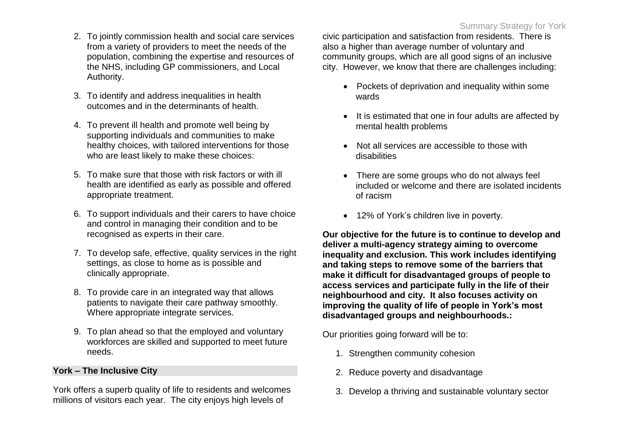- 2. To jointly commission health and social care services from a variety of providers to meet the needs of the population, combining the expertise and resources of the NHS, including GP commissioners, and Local Authority.
- 3. To identify and address inequalities in health outcomes and in the determinants of health.
- 4. To prevent ill health and promote well being by supporting individuals and communities to make healthy choices, with tailored interventions for those who are least likely to make these choices:
- 5. To make sure that those with risk factors or with ill health are identified as early as possible and offered appropriate treatment.
- 6. To support individuals and their carers to have choice and control in managing their condition and to be recognised as experts in their care.
- 7. To develop safe, effective, quality services in the right settings, as close to home as is possible and clinically appropriate.
- 8. To provide care in an integrated way that allows patients to navigate their care pathway smoothly. Where appropriate integrate services.
- 9. To plan ahead so that the employed and voluntary workforces are skilled and supported to meet future needs.

### **York – The Inclusive City**

York offers a superb quality of life to residents and welcomes millions of visitors each year. The city enjoys high levels of

civic participation and satisfaction from residents. There is also a higher than average number of voluntary and community groups, which are all good signs of an inclusive city. However, we know that there are challenges including:

- Pockets of deprivation and inequality within some wards
- It is estimated that one in four adults are affected by mental health problems
- Not all services are accessible to those with disabilities
- There are some groups who do not always feel included or welcome and there are isolated incidents of racism
- 12% of York's children live in poverty.

**Our objective for the future is to continue to develop and deliver a multi-agency strategy aiming to overcome inequality and exclusion. This work includes identifying and taking steps to remove some of the barriers that make it difficult for disadvantaged groups of people to access services and participate fully in the life of their neighbourhood and city. It also focuses activity on improving the quality of life of people in York's most disadvantaged groups and neighbourhoods.:**

Our priorities going forward will be to:

- 1. Strengthen community cohesion
- 2. Reduce poverty and disadvantage
- 3. Develop a thriving and sustainable voluntary sector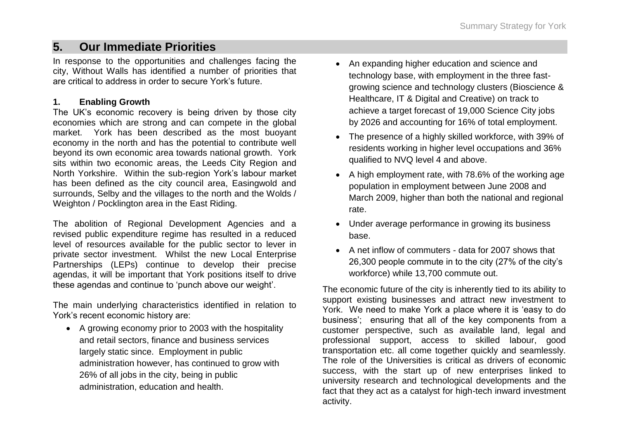## **5. Our Immediate Priorities**

In response to the opportunities and challenges facing the city, Without Walls has identified a number of priorities that are critical to address in order to secure York"s future.

#### **1. Enabling Growth**

The UK's economic recovery is being driven by those city economies which are strong and can compete in the global market. York has been described as the most buoyant economy in the north and has the potential to contribute well beyond its own economic area towards national growth. York sits within two economic areas, the Leeds City Region and North Yorkshire. Within the sub-region York"s labour market has been defined as the city council area, Easingwold and surrounds, Selby and the villages to the north and the Wolds / Weighton / Pocklington area in the East Riding.

The abolition of Regional Development Agencies and a revised public expenditure regime has resulted in a reduced level of resources available for the public sector to lever in private sector investment. Whilst the new Local Enterprise Partnerships (LEPs) continue to develop their precise agendas, it will be important that York positions itself to drive these agendas and continue to "punch above our weight".

The main underlying characteristics identified in relation to York's recent economic history are:

 A growing economy prior to 2003 with the hospitality and retail sectors, finance and business services largely static since. Employment in public administration however, has continued to grow with 26% of all jobs in the city, being in public administration, education and health.

- An expanding higher education and science and technology base, with employment in the three fastgrowing science and technology clusters (Bioscience & Healthcare, IT & Digital and Creative) on track to achieve a target forecast of 19,000 Science City jobs by 2026 and accounting for 16% of total employment.
- The presence of a highly skilled workforce, with 39% of residents working in higher level occupations and 36% qualified to NVQ level 4 and above.
- A high employment rate, with 78.6% of the working age population in employment between June 2008 and March 2009, higher than both the national and regional rate.
- Under average performance in growing its business base.
- A net inflow of commuters data for 2007 shows that 26,300 people commute in to the city (27% of the city"s workforce) while 13,700 commute out.

The economic future of the city is inherently tied to its ability to support existing businesses and attract new investment to York. We need to make York a place where it is "easy to do business'; ensuring that all of the key components from a customer perspective, such as available land, legal and professional support, access to skilled labour, good transportation etc. all come together quickly and seamlessly. The role of the Universities is critical as drivers of economic success, with the start up of new enterprises linked to university research and technological developments and the fact that they act as a catalyst for high-tech inward investment activity.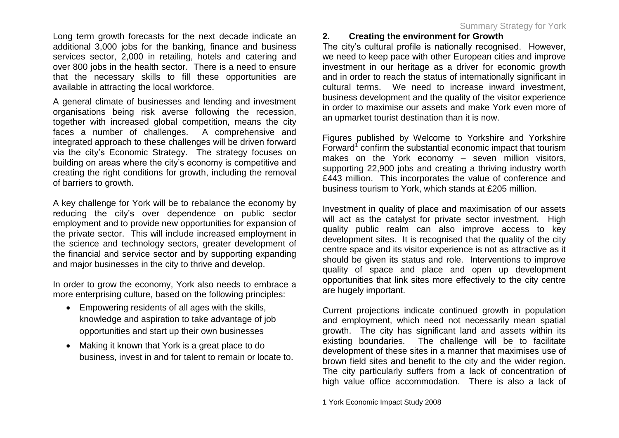Long term growth forecasts for the next decade indicate an additional 3,000 jobs for the banking, finance and business services sector, 2,000 in retailing, hotels and catering and over 800 jobs in the health sector. There is a need to ensure that the necessary skills to fill these opportunities are available in attracting the local workforce.

A general climate of businesses and lending and investment organisations being risk averse following the recession, together with increased global competition, means the city faces a number of challenges. A comprehensive and integrated approach to these challenges will be driven forward via the city"s Economic Strategy. The strategy focuses on building on areas where the city"s economy is competitive and creating the right conditions for growth, including the removal of barriers to growth.

A key challenge for York will be to rebalance the economy by reducing the city"s over dependence on public sector employment and to provide new opportunities for expansion of the private sector. This will include increased employment in the science and technology sectors, greater development of the financial and service sector and by supporting expanding and major businesses in the city to thrive and develop.

In order to grow the economy, York also needs to embrace a more enterprising culture, based on the following principles:

- Empowering residents of all ages with the skills, knowledge and aspiration to take advantage of job opportunities and start up their own businesses
- Making it known that York is a great place to do business, invest in and for talent to remain or locate to.

### **2. Creating the environment for Growth**

The city"s cultural profile is nationally recognised. However, we need to keep pace with other European cities and improve investment in our heritage as a driver for economic growth and in order to reach the status of internationally significant in cultural terms. We need to increase inward investment, business development and the quality of the visitor experience in order to maximise our assets and make York even more of an upmarket tourist destination than it is now.

Figures published by Welcome to Yorkshire and Yorkshire Forward<sup>1</sup> confirm the substantial economic impact that tourism makes on the York economy – seven million visitors, supporting 22,900 jobs and creating a thriving industry worth £443 million. This incorporates the value of conference and business tourism to York, which stands at £205 million.

Investment in quality of place and maximisation of our assets will act as the catalyst for private sector investment. High quality public realm can also improve access to key development sites. It is recognised that the quality of the city centre space and its visitor experience is not as attractive as it should be given its status and role. Interventions to improve quality of space and place and open up development opportunities that link sites more effectively to the city centre are hugely important.

Current projections indicate continued growth in population and employment, which need not necessarily mean spatial growth. The city has significant land and assets within its existing boundaries. The challenge will be to facilitate development of these sites in a manner that maximises use of brown field sites and benefit to the city and the wider region. The city particularly suffers from a lack of concentration of high value office accommodation. There is also a lack of

<sup>1</sup> York Economic Impact Study 2008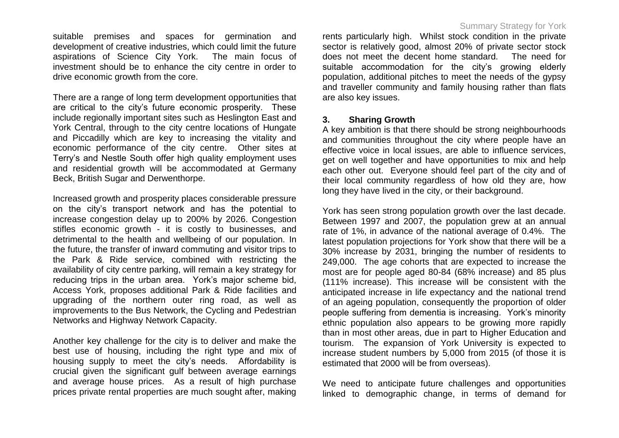suitable premises and spaces for germination and development of creative industries, which could limit the future aspirations of Science City York. The main focus of investment should be to enhance the city centre in order to drive economic growth from the core.

There are a range of long term development opportunities that are critical to the city"s future economic prosperity. These include regionally important sites such as Heslington East and York Central, through to the city centre locations of Hungate and Piccadilly which are key to increasing the vitality and economic performance of the city centre. Other sites at Terry"s and Nestle South offer high quality employment uses and residential growth will be accommodated at Germany Beck, British Sugar and Derwenthorpe.

Increased growth and prosperity places considerable pressure on the city"s transport network and has the potential to increase congestion delay up to 200% by 2026. Congestion stifles economic growth - it is costly to businesses, and detrimental to the health and wellbeing of our population. In the future, the transfer of inward commuting and visitor trips to the Park & Ride service, combined with restricting the availability of city centre parking, will remain a key strategy for reducing trips in the urban area. York"s major scheme bid, Access York, proposes additional Park & Ride facilities and upgrading of the northern outer ring road, as well as improvements to the Bus Network, the Cycling and Pedestrian Networks and Highway Network Capacity.

Another key challenge for the city is to deliver and make the best use of housing, including the right type and mix of housing supply to meet the city"s needs. Affordability is crucial given the significant gulf between average earnings and average house prices. As a result of high purchase prices private rental properties are much sought after, making

#### Summary Strategy for York

rents particularly high. Whilst stock condition in the private sector is relatively good, almost 20% of private sector stock does not meet the decent home standard. The need for suitable accommodation for the city's growing elderly population, additional pitches to meet the needs of the gypsy and traveller community and family housing rather than flats are also key issues.

#### **3. Sharing Growth**

A key ambition is that there should be strong neighbourhoods and communities throughout the city where people have an effective voice in local issues, are able to influence services, get on well together and have opportunities to mix and help each other out. Everyone should feel part of the city and of their local community regardless of how old they are, how long they have lived in the city, or their background.

York has seen strong population growth over the last decade. Between 1997 and 2007, the population grew at an annual rate of 1%, in advance of the national average of 0.4%. The latest population projections for York show that there will be a 30% increase by 2031, bringing the number of residents to 249,000. The age cohorts that are expected to increase the most are for people aged 80-84 (68% increase) and 85 plus (111% increase). This increase will be consistent with the anticipated increase in life expectancy and the national trend of an ageing population, consequently the proportion of older people suffering from dementia is increasing. York"s minority ethnic population also appears to be growing more rapidly than in most other areas, due in part to Higher Education and tourism. The expansion of York University is expected to increase student numbers by 5,000 from 2015 (of those it is estimated that 2000 will be from overseas).

We need to anticipate future challenges and opportunities linked to demographic change, in terms of demand for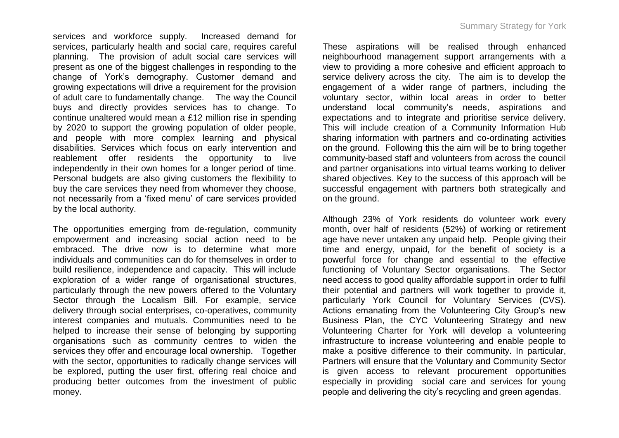services and workforce supply. Increased demand for services, particularly health and social care, requires careful planning. The provision of adult social care services will present as one of the biggest challenges in responding to the change of York"s demography. Customer demand and growing expectations will drive a requirement for the provision of adult care to fundamentally change. The way the Council buys and directly provides services has to change. To continue unaltered would mean a £12 million rise in spending by 2020 to support the growing population of older people, and people with more complex learning and physical disabilities. Services which focus on early intervention and reablement offer residents the opportunity to live independently in their own homes for a longer period of time. Personal budgets are also giving customers the flexibility to buy the care services they need from whomever they choose, not necessarily from a "fixed menu" of care services provided by the local authority.

The opportunities emerging from de-regulation, community empowerment and increasing social action need to be embraced. The drive now is to determine what more individuals and communities can do for themselves in order to build resilience, independence and capacity. This will include exploration of a wider range of organisational structures, particularly through the new powers offered to the Voluntary Sector through the Localism Bill. For example, service delivery through social enterprises, co-operatives, community interest companies and mutuals. Communities need to be helped to increase their sense of belonging by supporting organisations such as community centres to widen the services they offer and encourage local ownership. Together with the sector, opportunities to radically change services will be explored, putting the user first, offering real choice and producing better outcomes from the investment of public money.

These aspirations will be realised through enhanced neighbourhood management support arrangements with a view to providing a more cohesive and efficient approach to service delivery across the city. The aim is to develop the engagement of a wider range of partners, including the voluntary sector, within local areas in order to better understand local community"s needs, aspirations and expectations and to integrate and prioritise service delivery. This will include creation of a Community Information Hub sharing information with partners and co-ordinating activities on the ground. Following this the aim will be to bring together community-based staff and volunteers from across the council and partner organisations into virtual teams working to deliver shared objectives. Key to the success of this approach will be successful engagement with partners both strategically and on the ground.

Although 23% of York residents do volunteer work every month, over half of residents (52%) of working or retirement age have never untaken any unpaid help. People giving their time and energy, unpaid, for the benefit of society is a powerful force for change and essential to the effective functioning of Voluntary Sector organisations. The Sector need access to good quality affordable support in order to fulfil their potential and partners will work together to provide it, particularly York Council for Voluntary Services (CVS). Actions emanating from the Volunteering City Group's new Business Plan, the CYC Volunteering Strategy and new Volunteering Charter for York will develop a volunteering infrastructure to increase volunteering and enable people to make a positive difference to their community. In particular, Partners will ensure that the Voluntary and Community Sector is given access to relevant procurement opportunities especially in providing social care and services for young people and delivering the city"s recycling and green agendas.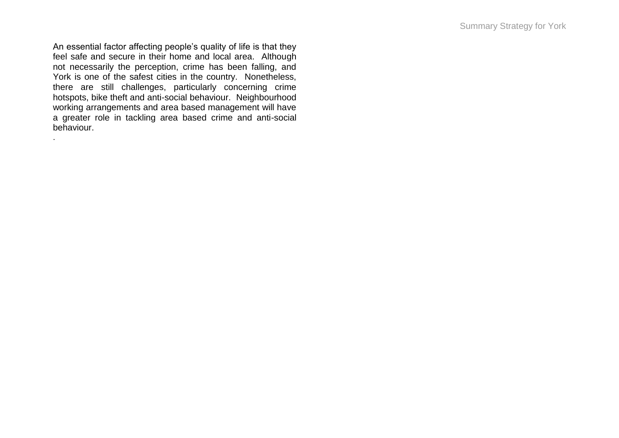An essential factor affecting people's quality of life is that they feel safe and secure in their home and local area. Although not necessarily the perception, crime has been falling, and York is one of the safest cities in the country. Nonetheless, there are still challenges, particularly concerning crime hotspots, bike theft and anti-social behaviour. Neighbourhood working arrangements and area based management will have a greater role in tackling area based crime and anti -social behaviour.

.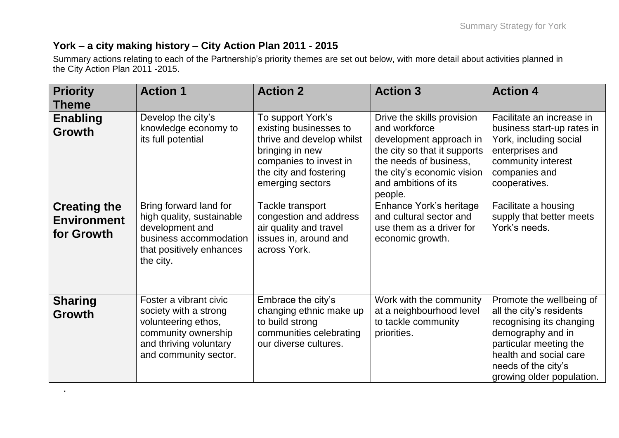## **York – a city making history – City Action Plan 2011 - 2015**

.

Summary actions relating to each of the Partnership"s priority themes are set out below, with more detail about activities planned in the City Action Plan 2011 -2015.

| <b>Priority</b><br><b>Theme</b>                         | <b>Action 1</b>                                                                                                                                  | <b>Action 2</b>                                                                                                                                                     | <b>Action 3</b>                                                                                                                                                                                   | <b>Action 4</b>                                                                                                                                                                                               |
|---------------------------------------------------------|--------------------------------------------------------------------------------------------------------------------------------------------------|---------------------------------------------------------------------------------------------------------------------------------------------------------------------|---------------------------------------------------------------------------------------------------------------------------------------------------------------------------------------------------|---------------------------------------------------------------------------------------------------------------------------------------------------------------------------------------------------------------|
| <b>Enabling</b><br><b>Growth</b>                        | Develop the city's<br>knowledge economy to<br>its full potential                                                                                 | To support York's<br>existing businesses to<br>thrive and develop whilst<br>bringing in new<br>companies to invest in<br>the city and fostering<br>emerging sectors | Drive the skills provision<br>and workforce<br>development approach in<br>the city so that it supports<br>the needs of business,<br>the city's economic vision<br>and ambitions of its<br>people. | Facilitate an increase in<br>business start-up rates in<br>York, including social<br>enterprises and<br>community interest<br>companies and<br>cooperatives.                                                  |
| <b>Creating the</b><br><b>Environment</b><br>for Growth | Bring forward land for<br>high quality, sustainable<br>development and<br>business accommodation<br>that positively enhances<br>the city.        | Tackle transport<br>congestion and address<br>air quality and travel<br>issues in, around and<br>across York.                                                       | Enhance York's heritage<br>and cultural sector and<br>use them as a driver for<br>economic growth.                                                                                                | Facilitate a housing<br>supply that better meets<br>York's needs.                                                                                                                                             |
| <b>Sharing</b><br><b>Growth</b>                         | Foster a vibrant civic<br>society with a strong<br>volunteering ethos,<br>community ownership<br>and thriving voluntary<br>and community sector. | Embrace the city's<br>changing ethnic make up<br>to build strong<br>communities celebrating<br>our diverse cultures.                                                | Work with the community<br>at a neighbourhood level<br>to tackle community<br>priorities.                                                                                                         | Promote the wellbeing of<br>all the city's residents<br>recognising its changing<br>demography and in<br>particular meeting the<br>health and social care<br>needs of the city's<br>growing older population. |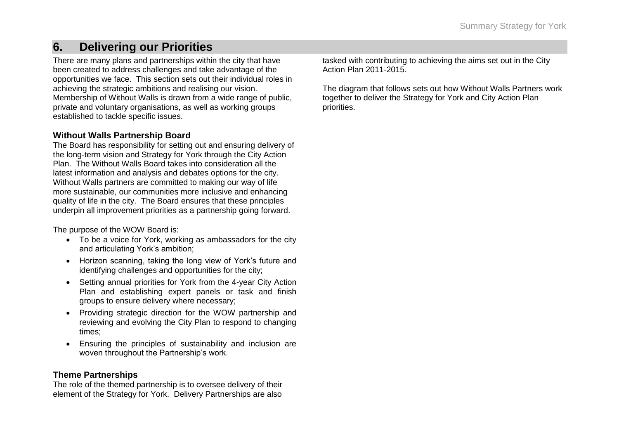## **6. Delivering our Priorities**

There are many plans and partnerships within the city that have been created to address challenges and take advantage of the opportunities we face. This section sets out their individual roles in achieving the strategic ambitions and realising our vision. Membership of Without Walls is drawn from a wide range of public, private and voluntary organisations, as well as working groups established to tackle specific issues.

#### **Without Walls Partnership Board**

The Board has responsibility for setting out and ensuring delivery of the long-term vision and Strategy for York through the City Action Plan. The Without Walls Board takes into consideration all the latest information and analysis and debates options for the city. Without Walls partners are committed to making our way of life more sustainable, our communities more inclusive and enhancing quality of life in the city. The Board ensures that these principles underpin all improvement priorities as a partnership going forward.

The purpose of the WOW Board is:

- To be a voice for York, working as ambassadors for the city and articulating York's ambition:
- Horizon scanning, taking the long view of York's future and identifying challenges and opportunities for the city;
- Setting annual priorities for York from the 4-year City Action Plan and establishing expert panels or task and finish groups to ensure delivery where necessary;
- Providing strategic direction for the WOW partnership and reviewing and evolving the City Plan to respond to changing times;
- Ensuring the principles of sustainability and inclusion are woven throughout the Partnership"s work.

#### **Theme Partnerships**

The role of the themed partnership is to oversee delivery of their element of the Strategy for York. Delivery Partnerships are also

tasked with contributing to achieving the aims set out in the City Action Plan 2011-2015.

The diagram that follows sets out how Without Walls Partners work together to deliver the Strategy for York and City Action Plan priorities.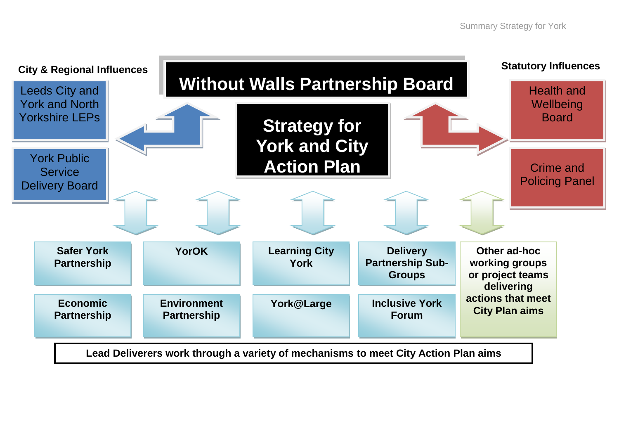

**Lead Deliverers work through a variety of mechanisms to meet City Action Plan aims**